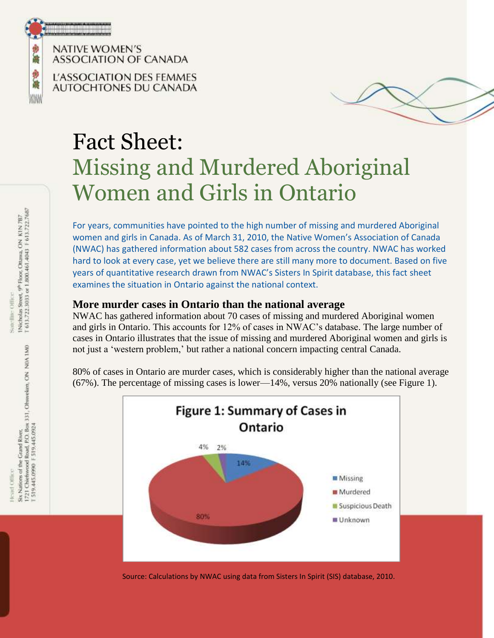

**NATIVE WOMEN'S** ASSOCIATION OF CANADA

L'ASSOCIATION DES FEMMES AUTOCHTONES DU CANADA



# Fact Sheet: Missing and Murdered Aboriginal Women and Girls in Ontario

For years, communities have pointed to the high number of missing and murdered Aboriginal women and girls in Canada. As of March 31, 2010, the Native Women's Association of Canada (NWAC) has gathered information about 582 cases from across the country. NWAC has worked hard to look at every case, yet we believe there are still many more to document. Based on five years of quantitative research drawn from NWAC's Sisters In Spirit database, this fact sheet examines the situation in Ontario against the national context.

#### **More murder cases in Ontario than the national average**

NWAC has gathered information about 70 cases of missing and murdered Aboriginal women and girls in Ontario. This accounts for 12% of cases in NWAC's database. The large number of cases in Ontario illustrates that the issue of missing and murdered Aboriginal women and girls is not just a 'western problem,' but rather a national concern impacting central Canada.

80% of cases in Ontario are murder cases, which is considerably higher than the national average (67%). The percentage of missing cases is lower—14%, versus 20% nationally (see Figure 1).



Source: Calculations by NWAC using data from Sisters In Spirit (SIS) database, 2010.

1Nicholas Street, <sup>giv</sup> Floor, Ottawa, ON K1N 7B7<br>T 613.722.2033 or 1.800.461.4043 F 613.722.7687 Satellite Office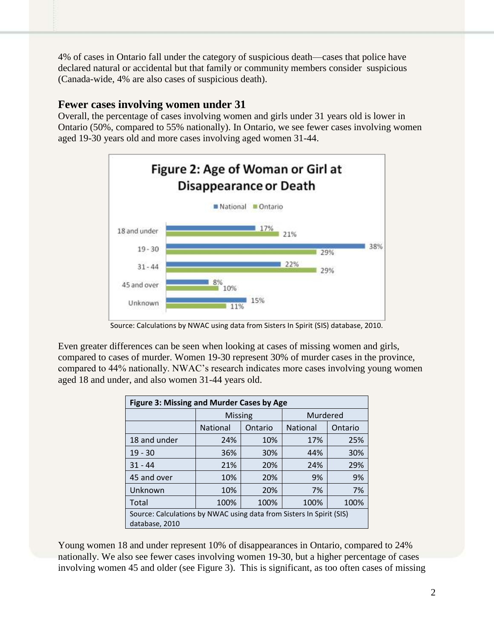4% of cases in Ontario fall under the category of suspicious death—cases that police have declared natural or accidental but that family or community members consider suspicious (Canada-wide, 4% are also cases of suspicious death).

#### **Fewer cases involving women under 31**

Overall, the percentage of cases involving women and girls under 31 years old is lower in Ontario (50%, compared to 55% nationally). In Ontario, we see fewer cases involving women aged 19-30 years old and more cases involving aged women 31-44.



Source: Calculations by NWAC using data from Sisters In Spirit (SIS) database, 2010.

Even greater differences can be seen when looking at cases of missing women and girls, compared to cases of murder. Women 19-30 represent 30% of murder cases in the province, compared to 44% nationally. NWAC's research indicates more cases involving young women aged 18 and under, and also women 31-44 years old.

| Figure 3: Missing and Murder Cases by Age                                              |                |         |                 |         |  |  |
|----------------------------------------------------------------------------------------|----------------|---------|-----------------|---------|--|--|
|                                                                                        | <b>Missing</b> |         | Murdered        |         |  |  |
|                                                                                        | National       | Ontario | <b>National</b> | Ontario |  |  |
| 18 and under                                                                           | 24%            | 10%     | 17%             | 25%     |  |  |
| $19 - 30$                                                                              | 36%            | 30%     | 44%             | 30%     |  |  |
| $31 - 44$                                                                              | 21%            | 20%     | 24%             | 29%     |  |  |
| 45 and over                                                                            | 10%            | 20%     | 9%              | 9%      |  |  |
| Unknown                                                                                | 10%            | 20%     | 7%              | 7%      |  |  |
| Total                                                                                  | 100%           | 100%    | 100%            | 100%    |  |  |
| Source: Calculations by NWAC using data from Sisters In Spirit (SIS)<br>database, 2010 |                |         |                 |         |  |  |

Young women 18 and under represent 10% of disappearances in Ontario, compared to 24% nationally. We also see fewer cases involving women 19-30, but a higher percentage of cases involving women 45 and older (see Figure 3). This is significant, as too often cases of missing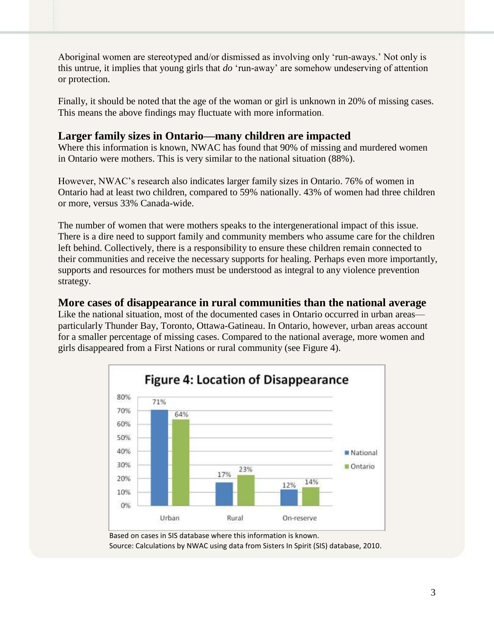Aboriginal women are stereotyped and/or dismissed as involving only 'run-aways.' Not only is this untrue, it implies that young girls that *do* 'run-away' are somehow undeserving of attention or protection.

Finally, it should be noted that the age of the woman or girl is unknown in 20% of missing cases. This means the above findings may fluctuate with more information.

#### **Larger family sizes in Ontario—many children are impacted**

Where this information is known, NWAC has found that 90% of missing and murdered women in Ontario were mothers. This is very similar to the national situation (88%).

However, NWAC's research also indicates larger family sizes in Ontario. 76% of women in Ontario had at least two children, compared to 59% nationally. 43% of women had three children or more, versus 33% Canada-wide.

The number of women that were mothers speaks to the intergenerational impact of this issue. There is a dire need to support family and community members who assume care for the children left behind. Collectively, there is a responsibility to ensure these children remain connected to their communities and receive the necessary supports for healing. Perhaps even more importantly, supports and resources for mothers must be understood as integral to any violence prevention strategy.

#### **More cases of disappearance in rural communities than the national average**

Like the national situation, most of the documented cases in Ontario occurred in urban areas particularly Thunder Bay, Toronto, Ottawa-Gatineau. In Ontario, however, urban areas account for a smaller percentage of missing cases. Compared to the national average, more women and girls disappeared from a First Nations or rural community (see Figure 4).



Source: Calculations by NWAC using data from Sisters In Spirit (SIS) database, 2010.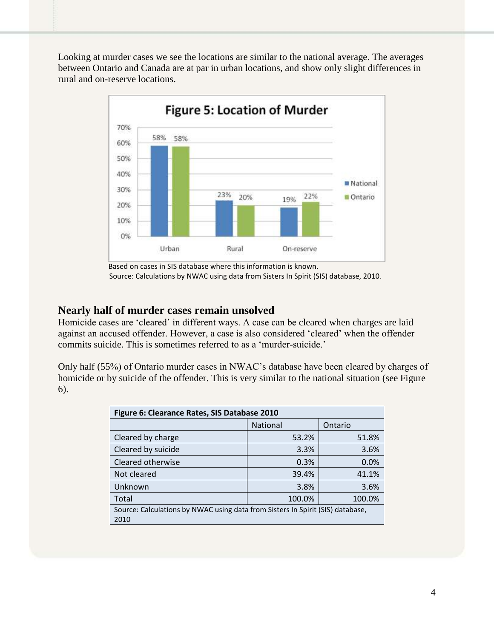Looking at murder cases we see the locations are similar to the national average. The averages between Ontario and Canada are at par in urban locations, and show only slight differences in rural and on-reserve locations.



Based on cases in SIS database where this information is known. Source: Calculations by NWAC using data from Sisters In Spirit (SIS) database, 2010.

#### **Nearly half of murder cases remain unsolved**

Homicide cases are 'cleared' in different ways. A case can be cleared when charges are laid against an accused offender. However, a case is also considered 'cleared' when the offender commits suicide. This is sometimes referred to as a 'murder-suicide.'

Only half (55%) of Ontario murder cases in NWAC's database have been cleared by charges of homicide or by suicide of the offender. This is very similar to the national situation (see Figure 6).

| Figure 6: Clearance Rates, SIS Database 2010                                           |          |         |  |  |  |
|----------------------------------------------------------------------------------------|----------|---------|--|--|--|
|                                                                                        | National | Ontario |  |  |  |
| Cleared by charge                                                                      | 53.2%    | 51.8%   |  |  |  |
| Cleared by suicide                                                                     | 3.3%     | 3.6%    |  |  |  |
| Cleared otherwise                                                                      | 0.3%     | 0.0%    |  |  |  |
| Not cleared                                                                            | 39.4%    | 41.1%   |  |  |  |
| Unknown                                                                                | 3.8%     | 3.6%    |  |  |  |
| Total                                                                                  | 100.0%   | 100.0%  |  |  |  |
| Source: Calculations by NWAC using data from Sisters In Spirit (SIS) database,<br>2010 |          |         |  |  |  |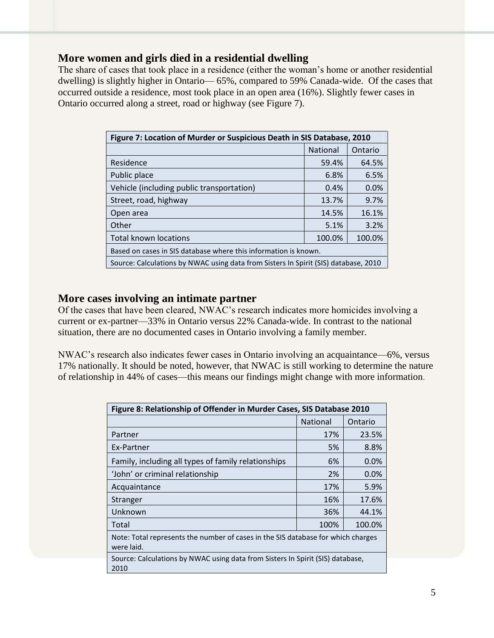#### **More women and girls died in a residential dwelling**

The share of cases that took place in a residence (either the woman's home or another residential dwelling) is slightly higher in Ontario— 65%, compared to 59% Canada-wide. Of the cases that occurred outside a residence, most took place in an open area (16%). Slightly fewer cases in Ontario occurred along a street, road or highway (see Figure 7).

| Figure 7: Location of Murder or Suspicious Death in SIS Database, 2010              |                 |         |  |  |
|-------------------------------------------------------------------------------------|-----------------|---------|--|--|
|                                                                                     | <b>National</b> | Ontario |  |  |
| Residence                                                                           | 59.4%           | 64.5%   |  |  |
| Public place                                                                        | 6.8%            | 6.5%    |  |  |
| Vehicle (including public transportation)                                           | 0.4%            | 0.0%    |  |  |
| Street, road, highway                                                               | 13.7%           | 9.7%    |  |  |
| Open area                                                                           | 14.5%           | 16.1%   |  |  |
| Other                                                                               | 5.1%            | 3.2%    |  |  |
| <b>Total known locations</b>                                                        | 100.0%          | 100.0%  |  |  |
| Based on cases in SIS database where this information is known.                     |                 |         |  |  |
| Source: Calculations by NWAC using data from Sisters In Spirit (SIS) database, 2010 |                 |         |  |  |

#### **More cases involving an intimate partner**

Of the cases that have been cleared, NWAC's research indicates more homicides involving a current or ex-partner—33% in Ontario versus 22% Canada-wide. In contrast to the national situation, there are no documented cases in Ontario involving a family member.

NWAC's research also indicates fewer cases in Ontario involving an acquaintance—6%, versus 17% nationally. It should be noted, however, that NWAC is still working to determine the nature of relationship in 44% of cases—this means our findings might change with more information.

| Figure 8: Relationship of Offender in Murder Cases, SIS Database 2010                          |                 |         |  |  |
|------------------------------------------------------------------------------------------------|-----------------|---------|--|--|
|                                                                                                | <b>National</b> | Ontario |  |  |
| Partner                                                                                        | 17%             | 23.5%   |  |  |
| Ex-Partner                                                                                     | 5%              | 8.8%    |  |  |
| Family, including all types of family relationships                                            | 6%              | $0.0\%$ |  |  |
| 'John' or criminal relationship                                                                | 2%              | 0.0%    |  |  |
| Acquaintance                                                                                   | 17%             | 5.9%    |  |  |
| Stranger                                                                                       | 16%             | 17.6%   |  |  |
| Unknown                                                                                        | 36%             | 44.1%   |  |  |
| Total                                                                                          | 100%            | 100.0%  |  |  |
| Note: Total represents the number of cases in the SIS database for which charges<br>were laid. |                 |         |  |  |
| Source: Calculations by NWAC using data from Sisters In Spirit (SIS) database,<br>2010         |                 |         |  |  |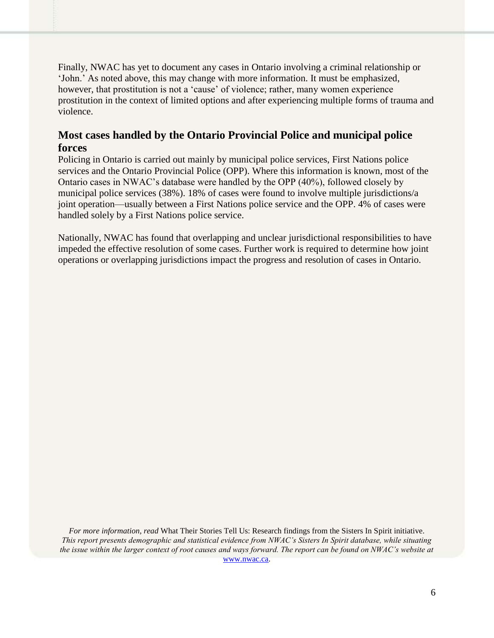Finally, NWAC has yet to document any cases in Ontario involving a criminal relationship or 'John.' As noted above, this may change with more information. It must be emphasized, however, that prostitution is not a 'cause' of violence; rather, many women experience prostitution in the context of limited options and after experiencing multiple forms of trauma and violence.

#### **Most cases handled by the Ontario Provincial Police and municipal police forces**

Policing in Ontario is carried out mainly by municipal police services, First Nations police services and the Ontario Provincial Police (OPP). Where this information is known, most of the Ontario cases in NWAC's database were handled by the OPP (40%), followed closely by municipal police services (38%). 18% of cases were found to involve multiple jurisdictions/a joint operation—usually between a First Nations police service and the OPP. 4% of cases were handled solely by a First Nations police service.

Nationally, NWAC has found that overlapping and unclear jurisdictional responsibilities to have impeded the effective resolution of some cases. Further work is required to determine how joint operations or overlapping jurisdictions impact the progress and resolution of cases in Ontario.

*For more information, read* What Their Stories Tell Us: Research findings from the Sisters In Spirit initiative. *This report presents demographic and statistical evidence from NWAC's Sisters In Spirit database, while situating the issue within the larger context of root causes and ways forward. The report can be found on NWAC's website at*  [www.nwac.ca.](http://www.nwac.ca/)